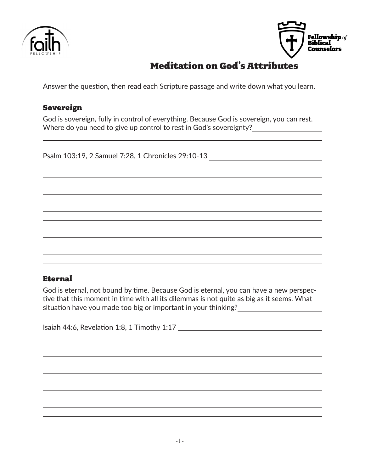



# Meditation on God's Attributes

Answer the question, then read each Scripture passage and write down what you learn.

## Sovereign

God is sovereign, fully in control of everything. Because God is sovereign, you can rest. Where do you need to give up control to rest in God's sovereignty?

Psalm 103:19, 2 Samuel 7:28, 1 Chronicles 29:10-13 \_\_\_\_\_\_\_\_\_\_\_\_\_\_\_\_\_\_\_\_\_\_\_\_\_\_\_\_\_

### Eternal

God is eternal, not bound by time. Because God is eternal, you can have a new perspective that this moment in time with all its dilemmas is not quite as big as it seems. What situation have you made too big or important in your thinking?

Isaiah 44:6, Revelation 1:8, 1 Timothy 1:17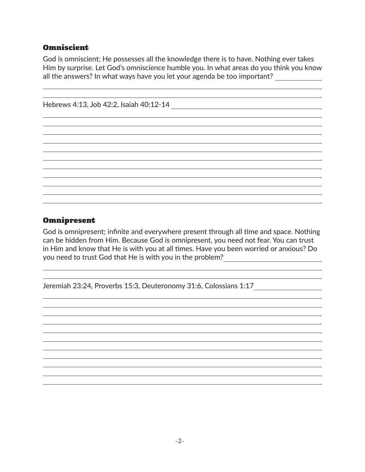### **Omniscient**

God is omniscient; He possesses all the knowledge there is to have. Nothing ever takes Him by surprise. Let God's omniscience humble you. In what areas do you think you know all the answers? In what ways have you let your agenda be too important?

Hebrews 4:13, Job 42:2, Isaiah 40:12-14

### Omnipresent

God is omnipresent; infinite and everywhere present through all time and space. Nothing can be hidden from Him. Because God is omnipresent, you need not fear. You can trust in Him and know that He is with you at all times. Have you been worried or anxious? Do you need to trust God that He is with you in the problem?

Jeremiah 23:24, Proverbs 15:3, Deuteronomy 31:6, Colossians 1:17